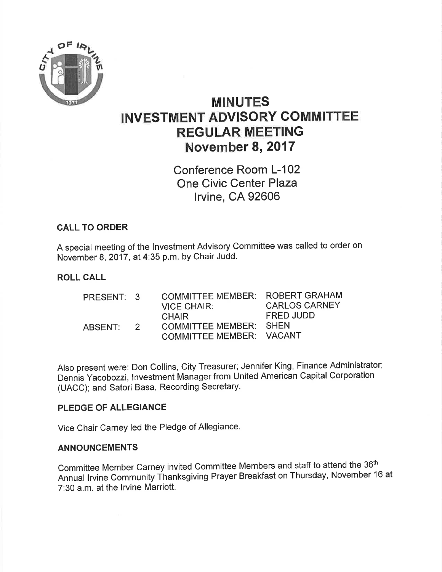

# MINUTES INVESTMENT ADVISORY COMMITTEE REGULAR MEETING November 8,2017

Conference Room L-102 One Civic Center Plaza lrvine, CA 92606

#### CALL TO ORDER

A special meeting of the lnvestment Advisory Committee was called to order on November 8, 2017 , at 4:35 p.m. by Chair Judd'

#### ROLL CALL

| PRESENT: 3 |               | COMMITTEE MEMBER: ROBERT GRAHAM<br><b>VICE CHAIR:</b>                     | <b>CARLOS CARNEY</b> |
|------------|---------------|---------------------------------------------------------------------------|----------------------|
| ABSENT:    | $\mathcal{P}$ | <b>CHAIR</b><br>COMMITTEE MEMBER: SHEN<br><b>COMMITTEE MEMBER: VACANT</b> | FRED JUDD            |

Also present were: Don Collins, City Treasurer; Jennifer King, Finance Administrator; Dennis Yacobozzi, lnvestment Manager from United American Capital Corporation (UACC); and Satori Basa, Recording Secretary.

#### PLEDGE OF ALLEGIANCE

 $\sim 10^{-1}$ 

Vice Chair Carney led the Pledge of Allegiance.

#### ANNOUNCEMENTS

Committee Member Carney invited Committee Members and staff to attend the 36th Annual lrvine Community Thanksgiving Prayer Breakfast on Thursday, November 16 at 7:30 a.m. at the lrvine Marriott.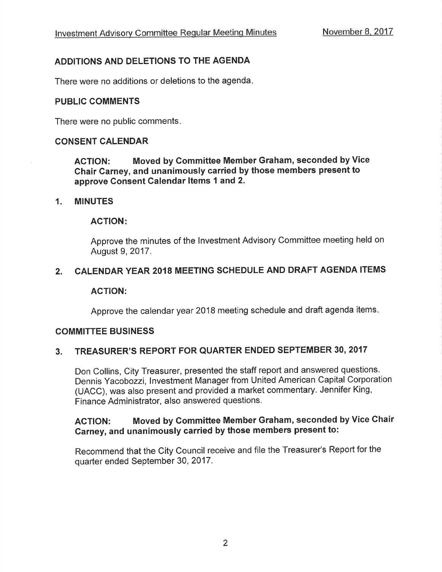### ADDITIONS AND DELETIONS TO THE AGENDA

There were no additions or deletions to the agenda

#### PUBLIC COMMENTS

There were no public comments

#### CONSENT GALENDAR

ACTION: Moved by Committee Member Graham, seconded by Vice Chair Carney, and unanimously carried by those members present to approve Gonsent Calendar ltems 1 and 2.

#### 1. MINUTES

#### ACTION

Approve the minutes of the lnvestment Advisory Committee meeting held on August 9,2017.

#### 2. CALENDAR YEAR 2018 MEETING SCHEDULE AND DRAFT AGENDA ITEMS

#### ACTION:

Approve the calendar year 2018 meeting schedule and draft agenda items

#### COMMITTEE BUSINESS

## 3. TREASURER'S REPORT FOR QUARTER ENDED SEPTEMBER 30, <sup>2017</sup>

Don Collins, City Treasurer, presented the staff report and answered questions. Dennis Yacobozzi, lnvestment Manager from United American Capital Corporation (UACC), was also present and provided a market commentary. Jennifer King, Finance Administrator, also answered questions.

### ACTION: Moved by Gommittee Member Graham, seconded by Vice Chair Garney, and unanimously carried by those members present to:

Recommend that the City Council receive and file the Treasurer's Report for the quarter ended September 30,2017.